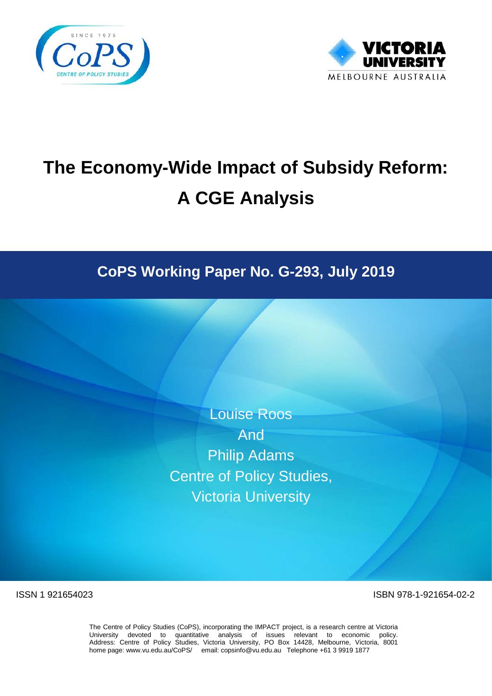



# **The Economy-Wide Impact of Subsidy Reform: A CGE Analysis**

## **CoPS Working Paper No. G-293, July 2019**

Louise Roos And Philip Adams Centre of Policy Studies, Victoria University

ISSN 1 921654023 ISBN 978-1-921654-02-2

The Centre of Policy Studies (CoPS), incorporating the IMPACT project, is a research centre at Victoria University devoted to quantitative analysis of issues relevant to economic policy. Address: Centre of Policy Studies, Victoria University, PO Box 14428, Melbourne, Victoria, 8001 home page: www.vu.edu.au/CoPS/ email: copsinfo@vu.edu.au Telephone +61 3 9919 1877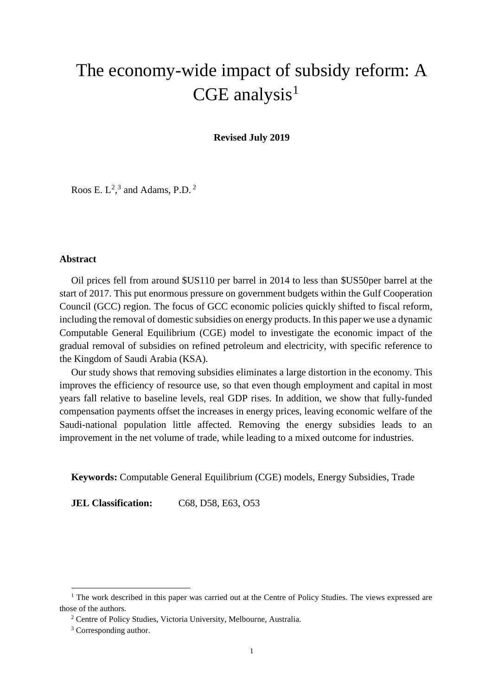## The economy-wide impact of subsidy reform: A  $CGE$  analysis<sup>[1](#page-2-0)</sup>

**Revised July 2019**

Roos E.  $L^2$  $L^2$ ,  $^3$  $^3$  and Adams, P.D.<sup>2</sup>

#### **Abstract**

Oil prices fell from around \$US110 per barrel in 2014 to less than \$US50per barrel at the start of 2017. This put enormous pressure on government budgets within the Gulf Cooperation Council (GCC) region. The focus of GCC economic policies quickly shifted to fiscal reform, including the removal of domestic subsidies on energy products. In this paper we use a dynamic Computable General Equilibrium (CGE) model to investigate the economic impact of the gradual removal of subsidies on refined petroleum and electricity, with specific reference to the Kingdom of Saudi Arabia (KSA).

Our study shows that removing subsidies eliminates a large distortion in the economy. This improves the efficiency of resource use, so that even though employment and capital in most years fall relative to baseline levels, real GDP rises. In addition, we show that fully-funded compensation payments offset the increases in energy prices, leaving economic welfare of the Saudi-national population little affected. Removing the energy subsidies leads to an improvement in the net volume of trade, while leading to a mixed outcome for industries.

**Keywords:** Computable General Equilibrium (CGE) models, Energy Subsidies, Trade

**JEL Classification:** C68, D58, E63, O53

<span id="page-2-2"></span><span id="page-2-1"></span><span id="page-2-0"></span><sup>&</sup>lt;sup>1</sup> The work described in this paper was carried out at the Centre of Policy Studies. The views expressed are those of the authors.

<sup>2</sup> Centre of Policy Studies, Victoria University, Melbourne, Australia.

<sup>&</sup>lt;sup>3</sup> Corresponding author.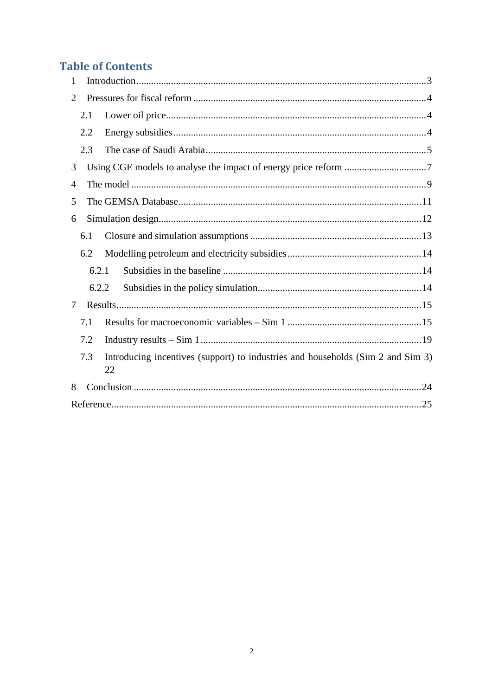## **Table of Contents**

| 1 |       |                                                                                       |  |  |  |  |  |
|---|-------|---------------------------------------------------------------------------------------|--|--|--|--|--|
| 2 |       |                                                                                       |  |  |  |  |  |
|   | 2.1   |                                                                                       |  |  |  |  |  |
|   | 2.2   |                                                                                       |  |  |  |  |  |
|   | 2.3   |                                                                                       |  |  |  |  |  |
| 3 |       |                                                                                       |  |  |  |  |  |
| 4 |       |                                                                                       |  |  |  |  |  |
| 5 |       |                                                                                       |  |  |  |  |  |
| 6 |       |                                                                                       |  |  |  |  |  |
|   | 6.1   |                                                                                       |  |  |  |  |  |
|   | 6.2   |                                                                                       |  |  |  |  |  |
|   | 6.2.1 |                                                                                       |  |  |  |  |  |
|   | 6.2.2 |                                                                                       |  |  |  |  |  |
| 7 |       |                                                                                       |  |  |  |  |  |
|   | 7.1   |                                                                                       |  |  |  |  |  |
|   | 7.2   |                                                                                       |  |  |  |  |  |
|   | 7.3   | Introducing incentives (support) to industries and households (Sim 2 and Sim 3)<br>22 |  |  |  |  |  |
| 8 |       |                                                                                       |  |  |  |  |  |
|   |       |                                                                                       |  |  |  |  |  |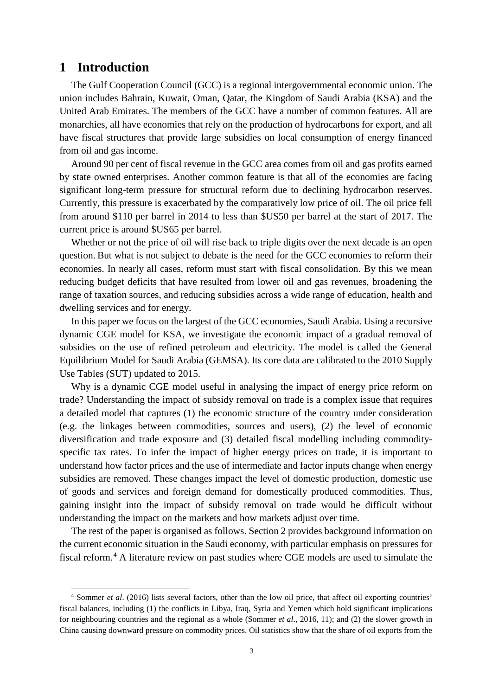## <span id="page-4-0"></span>**1 Introduction**

The Gulf Cooperation Council (GCC) is a regional intergovernmental economic union. The union includes Bahrain, Kuwait, Oman, Qatar, the Kingdom of Saudi Arabia (KSA) and the United Arab Emirates. The members of the GCC have a number of common features. All are monarchies, all have economies that rely on the production of hydrocarbons for export, and all have fiscal structures that provide large subsidies on local consumption of energy financed from oil and gas income.

Around 90 per cent of fiscal revenue in the GCC area comes from oil and gas profits earned by state owned enterprises. Another common feature is that all of the economies are facing significant long-term pressure for structural reform due to declining hydrocarbon reserves. Currently, this pressure is exacerbated by the comparatively low price of oil. The oil price fell from around \$110 per barrel in 2014 to less than \$US50 per barrel at the start of 2017. The current price is around \$US65 per barrel.

Whether or not the price of oil will rise back to triple digits over the next decade is an open question. But what is not subject to debate is the need for the GCC economies to reform their economies. In nearly all cases, reform must start with fiscal consolidation. By this we mean reducing budget deficits that have resulted from lower oil and gas revenues, broadening the range of taxation sources, and reducing subsidies across a wide range of education, health and dwelling services and for energy.

In this paper we focus on the largest of the GCC economies, Saudi Arabia. Using a recursive dynamic CGE model for KSA, we investigate the economic impact of a gradual removal of subsidies on the use of refined petroleum and electricity. The model is called the General Equilibrium Model for Saudi Arabia (GEMSA). Its core data are calibrated to the 2010 Supply Use Tables (SUT) updated to 2015.

Why is a dynamic CGE model useful in analysing the impact of energy price reform on trade? Understanding the impact of subsidy removal on trade is a complex issue that requires a detailed model that captures (1) the economic structure of the country under consideration (e.g. the linkages between commodities, sources and users), (2) the level of economic diversification and trade exposure and (3) detailed fiscal modelling including commodityspecific tax rates. To infer the impact of higher energy prices on trade, it is important to understand how factor prices and the use of intermediate and factor inputs change when energy subsidies are removed. These changes impact the level of domestic production, domestic use of goods and services and foreign demand for domestically produced commodities. Thus, gaining insight into the impact of subsidy removal on trade would be difficult without understanding the impact on the markets and how markets adjust over time.

The rest of the paper is organised as follows. Section 2 provides background information on the current economic situation in the Saudi economy, with particular emphasis on pressures for fiscal reform. [4](#page-4-1) A literature review on past studies where CGE models are used to simulate the

<span id="page-4-1"></span> <sup>4</sup> Sommer *et al*. (2016) lists several factors, other than the low oil price, that affect oil exporting countries' fiscal balances, including (1) the conflicts in Libya, Iraq, Syria and Yemen which hold significant implications for neighbouring countries and the regional as a whole (Sommer *et al*., 2016, 11); and (2) the slower growth in China causing downward pressure on commodity prices. Oil statistics show that the share of oil exports from the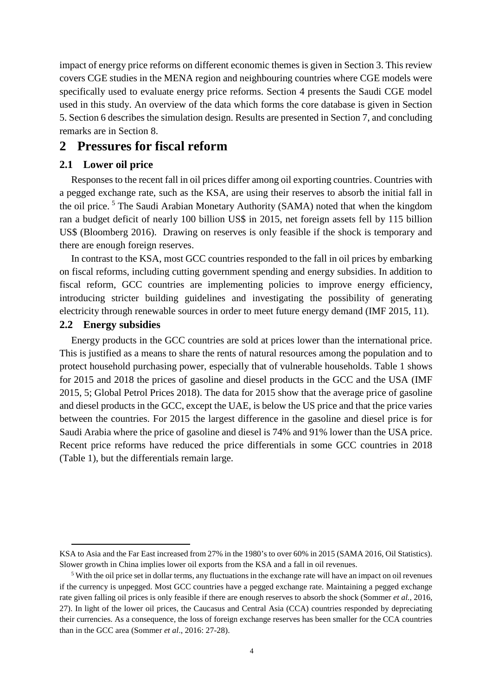impact of energy price reforms on different economic themes is given in Section 3. This review covers CGE studies in the MENA region and neighbouring countries where CGE models were specifically used to evaluate energy price reforms. Section 4 presents the Saudi CGE model used in this study. An overview of the data which forms the core database is given in Section 5. Section 6 describes the simulation design. Results are presented in Section 7, and concluding remarks are in Section 8.

## <span id="page-5-0"></span>**2 Pressures for fiscal reform**

## <span id="page-5-1"></span>**2.1 Lower oil price**

Responses to the recent fall in oil prices differ among oil exporting countries. Countries with a pegged exchange rate, such as the KSA, are using their reserves to absorb the initial fall in the oil price. [5](#page-5-3) The Saudi Arabian Monetary Authority (SAMA) noted that when the kingdom ran a budget deficit of nearly 100 billion US\$ in 2015, net foreign assets fell by 115 billion US\$ (Bloomberg 2016). Drawing on reserves is only feasible if the shock is temporary and there are enough foreign reserves.

In contrast to the KSA, most GCC countries responded to the fall in oil prices by embarking on fiscal reforms, including cutting government spending and energy subsidies. In addition to fiscal reform, GCC countries are implementing policies to improve energy efficiency, introducing stricter building guidelines and investigating the possibility of generating electricity through renewable sources in order to meet future energy demand (IMF 2015, 11).

#### <span id="page-5-2"></span>**2.2 Energy subsidies**

 $\overline{a}$ 

Energy products in the GCC countries are sold at prices lower than the international price. This is justified as a means to share the rents of natural resources among the population and to protect household purchasing power, especially that of vulnerable households. Table 1 shows for 2015 and 2018 the prices of gasoline and diesel products in the GCC and the USA (IMF 2015, 5; Global Petrol Prices 2018). The data for 2015 show that the average price of gasoline and diesel products in the GCC, except the UAE, is below the US price and that the price varies between the countries. For 2015 the largest difference in the gasoline and diesel price is for Saudi Arabia where the price of gasoline and diesel is 74% and 91% lower than the USA price. Recent price reforms have reduced the price differentials in some GCC countries in 2018 (Table 1), but the differentials remain large.

KSA to Asia and the Far East increased from 27% in the 1980's to over 60% in 2015 (SAMA 2016, Oil Statistics). Slower growth in China implies lower oil exports from the KSA and a fall in oil revenues.

<span id="page-5-3"></span><sup>5</sup> With the oil price set in dollar terms, any fluctuations in the exchange rate will have an impact on oil revenues if the currency is unpegged. Most GCC countries have a pegged exchange rate. Maintaining a pegged exchange rate given falling oil prices is only feasible if there are enough reserves to absorb the shock (Sommer *et al.*, 2016, 27). In light of the lower oil prices, the Caucasus and Central Asia (CCA) countries responded by depreciating their currencies. As a consequence, the loss of foreign exchange reserves has been smaller for the CCA countries than in the GCC area (Sommer *et al*., 2016: 27-28).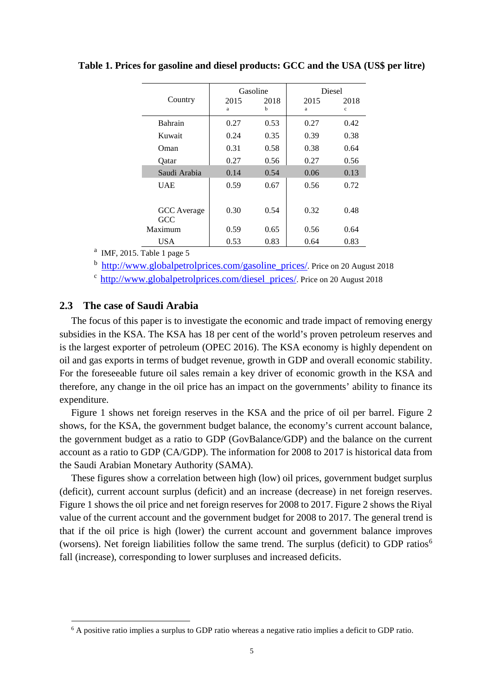|              | Gasoline |      | Diesel |              |  |  |  |  |
|--------------|----------|------|--------|--------------|--|--|--|--|
| Country      | 2015     | 2018 | 2015   | 2018         |  |  |  |  |
|              | a        | h    | a      | $\mathbf{C}$ |  |  |  |  |
| Bahrain      | 0.27     | 0.53 | 0.27   | 0.42         |  |  |  |  |
| Kuwait       | 0.24     | 0.35 | 0.39   | 0.38         |  |  |  |  |
| Oman         | 0.31     | 0.58 | 0.38   | 0.64         |  |  |  |  |
| Oatar        | 0.27     | 0.56 | 0.27   | 0.56         |  |  |  |  |
| Saudi Arabia | 0.14     | 0.54 | 0.06   | 0.13         |  |  |  |  |
| <b>UAE</b>   | 0.59     | 0.67 | 0.56   | 0.72         |  |  |  |  |
|              |          |      |        |              |  |  |  |  |
| GCC Average  | 0.30     | 0.54 | 0.32   | 0.48         |  |  |  |  |
| GCC          |          |      |        |              |  |  |  |  |
| Maximum      | 0.59     | 0.65 | 0.56   | 0.64         |  |  |  |  |
| USA          | 0.53     | 0.83 | 0.64   | 0.83         |  |  |  |  |

**Table 1. Prices for gasoline and diesel products: GCC and the USA (US\$ per litre)**

<sup>a</sup> IMF, 2015. Table 1 page 5

<sup>b</sup> [http://www.globalpetrolprices.com/gasoline\\_prices/.](http://www.globalpetrolprices.com/gasoline_prices/) Price on 20 August 2018

c [http://www.globalpetrolprices.com/diesel\\_prices/.](http://www.globalpetrolprices.com/diesel_prices/) Price on 20 August 2018

## <span id="page-6-0"></span>**2.3 The case of Saudi Arabia**

The focus of this paper is to investigate the economic and trade impact of removing energy subsidies in the KSA. The KSA has 18 per cent of the world's proven petroleum reserves and is the largest exporter of petroleum (OPEC 2016). The KSA economy is highly dependent on oil and gas exports in terms of budget revenue, growth in GDP and overall economic stability. For the foreseeable future oil sales remain a key driver of economic growth in the KSA and therefore, any change in the oil price has an impact on the governments' ability to finance its expenditure.

Figure 1 shows net foreign reserves in the KSA and the price of oil per barrel. Figure 2 shows, for the KSA, the government budget balance, the economy's current account balance, the government budget as a ratio to GDP (GovBalance/GDP) and the balance on the current account as a ratio to GDP (CA/GDP). The information for 2008 to 2017 is historical data from the Saudi Arabian Monetary Authority (SAMA).

These figures show a correlation between high (low) oil prices, government budget surplus (deficit), current account surplus (deficit) and an increase (decrease) in net foreign reserves. Figure 1 shows the oil price and net foreign reserves for 2008 to 2017. Figure 2 shows the Riyal value of the current account and the government budget for 2008 to 2017. The general trend is that if the oil price is high (lower) the current account and government balance improves (worsens). Net foreign liabilities follow the same trend. The surplus (deficit) to GDP ratios<sup>[6](#page-6-1)</sup> fall (increase), corresponding to lower surpluses and increased deficits.

<span id="page-6-1"></span><sup>&</sup>lt;sup>6</sup> A positive ratio implies a surplus to GDP ratio whereas a negative ratio implies a deficit to GDP ratio.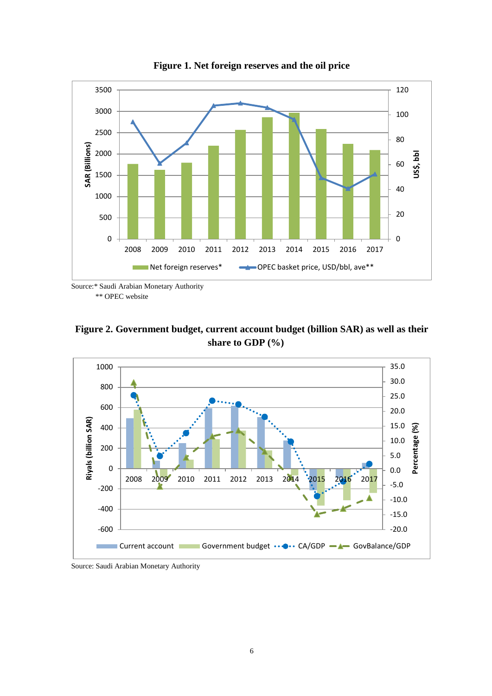

**Figure 1. Net foreign reserves and the oil price**







Source: Saudi Arabian Monetary Authority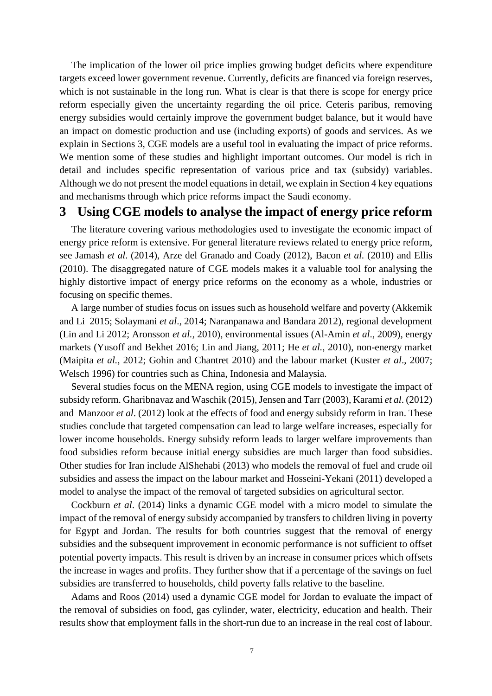The implication of the lower oil price implies growing budget deficits where expenditure targets exceed lower government revenue. Currently, deficits are financed via foreign reserves, which is not sustainable in the long run. What is clear is that there is scope for energy price reform especially given the uncertainty regarding the oil price. Ceteris paribus, removing energy subsidies would certainly improve the government budget balance, but it would have an impact on domestic production and use (including exports) of goods and services. As we explain in Sections 3, CGE models are a useful tool in evaluating the impact of price reforms. We mention some of these studies and highlight important outcomes. Our model is rich in detail and includes specific representation of various price and tax (subsidy) variables. Although we do not present the model equations in detail, we explain in Section 4 key equations and mechanisms through which price reforms impact the Saudi economy.

## <span id="page-8-0"></span>**3 Using CGE models to analyse the impact of energy price reform**

The literature covering various methodologies used to investigate the economic impact of energy price reform is extensive. For general literature reviews related to energy price reform, see Jamash *et al*. (2014), Arze del Granado and Coady (2012), Bacon *et al.* (2010) and Ellis (2010). The disaggregated nature of CGE models makes it a valuable tool for analysing the highly distortive impact of energy price reforms on the economy as a whole, industries or focusing on specific themes.

A large number of studies focus on issues such as household welfare and poverty (Akkemik and Li 2015; Solaymani *et al*., 2014; Naranpanawa and Bandara 2012), regional development (Lin and Li 2012; Aronsson *et al.,* 2010), environmental issues (Al-Amin *et al*., 2009), energy markets (Yusoff and Bekhet 2016; Lin and Jiang, 2011; He *et al.*, 2010), non-energy market (Maipita *et al.,* 2012; Gohin and Chantret 2010) and the labour market (Kuster *et al*., 2007; Welsch 1996) for countries such as China, Indonesia and Malaysia.

Several studies focus on the MENA region, using CGE models to investigate the impact of subsidy reform. Gharibnavaz and Waschik (2015), Jensen and Tarr (2003), Karami *et al*. (2012) and Manzoor *et al*. (2012) look at the effects of food and energy subsidy reform in Iran. These studies conclude that targeted compensation can lead to large welfare increases, especially for lower income households. Energy subsidy reform leads to larger welfare improvements than food subsidies reform because initial energy subsidies are much larger than food subsidies. Other studies for Iran include AlShehabi (2013) who models the removal of fuel and crude oil subsidies and assess the impact on the labour market and Hosseini-Yekani (2011) developed a model to analyse the impact of the removal of targeted subsidies on agricultural sector.

Cockburn *et al*. (2014) links a dynamic CGE model with a micro model to simulate the impact of the removal of energy subsidy accompanied by transfers to children living in poverty for Egypt and Jordan. The results for both countries suggest that the removal of energy subsidies and the subsequent improvement in economic performance is not sufficient to offset potential poverty impacts. This result is driven by an increase in consumer prices which offsets the increase in wages and profits. They further show that if a percentage of the savings on fuel subsidies are transferred to households, child poverty falls relative to the baseline.

Adams and Roos (2014) used a dynamic CGE model for Jordan to evaluate the impact of the removal of subsidies on food, gas cylinder, water, electricity, education and health. Their results show that employment falls in the short-run due to an increase in the real cost of labour.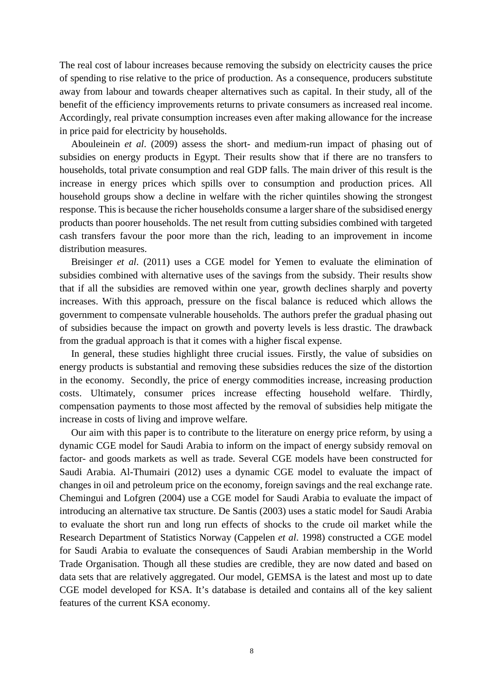The real cost of labour increases because removing the subsidy on electricity causes the price of spending to rise relative to the price of production. As a consequence, producers substitute away from labour and towards cheaper alternatives such as capital. In their study, all of the benefit of the efficiency improvements returns to private consumers as increased real income. Accordingly, real private consumption increases even after making allowance for the increase in price paid for electricity by households.

Abouleinein *et al*. (2009) assess the short- and medium-run impact of phasing out of subsidies on energy products in Egypt. Their results show that if there are no transfers to households, total private consumption and real GDP falls. The main driver of this result is the increase in energy prices which spills over to consumption and production prices. All household groups show a decline in welfare with the richer quintiles showing the strongest response. This is because the richer households consume a larger share of the subsidised energy products than poorer households. The net result from cutting subsidies combined with targeted cash transfers favour the poor more than the rich, leading to an improvement in income distribution measures.

Breisinger *et al*. (2011) uses a CGE model for Yemen to evaluate the elimination of subsidies combined with alternative uses of the savings from the subsidy. Their results show that if all the subsidies are removed within one year, growth declines sharply and poverty increases. With this approach, pressure on the fiscal balance is reduced which allows the government to compensate vulnerable households. The authors prefer the gradual phasing out of subsidies because the impact on growth and poverty levels is less drastic. The drawback from the gradual approach is that it comes with a higher fiscal expense.

In general, these studies highlight three crucial issues. Firstly, the value of subsidies on energy products is substantial and removing these subsidies reduces the size of the distortion in the economy. Secondly, the price of energy commodities increase, increasing production costs. Ultimately, consumer prices increase effecting household welfare. Thirdly, compensation payments to those most affected by the removal of subsidies help mitigate the increase in costs of living and improve welfare.

Our aim with this paper is to contribute to the literature on energy price reform, by using a dynamic CGE model for Saudi Arabia to inform on the impact of energy subsidy removal on factor- and goods markets as well as trade. Several CGE models have been constructed for Saudi Arabia. Al-Thumairi (2012) uses a dynamic CGE model to evaluate the impact of changes in oil and petroleum price on the economy, foreign savings and the real exchange rate. Chemingui and Lofgren (2004) use a CGE model for Saudi Arabia to evaluate the impact of introducing an alternative tax structure. De Santis (2003) uses a static model for Saudi Arabia to evaluate the short run and long run effects of shocks to the crude oil market while the Research Department of Statistics Norway (Cappelen *et al*. 1998) constructed a CGE model for Saudi Arabia to evaluate the consequences of Saudi Arabian membership in the World Trade Organisation. Though all these studies are credible, they are now dated and based on data sets that are relatively aggregated. Our model, GEMSA is the latest and most up to date CGE model developed for KSA. It's database is detailed and contains all of the key salient features of the current KSA economy.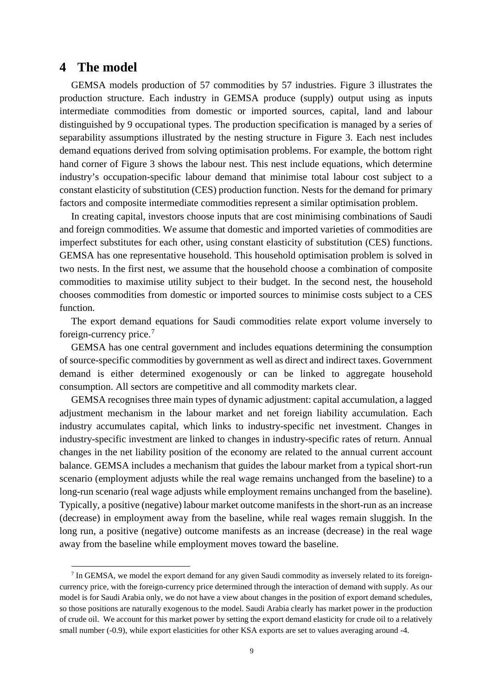## <span id="page-10-0"></span>**4 The model**

GEMSA models production of 57 commodities by 57 industries. Figure 3 illustrates the production structure. Each industry in GEMSA produce (supply) output using as inputs intermediate commodities from domestic or imported sources, capital, land and labour distinguished by 9 occupational types. The production specification is managed by a series of separability assumptions illustrated by the nesting structure in Figure 3. Each nest includes demand equations derived from solving optimisation problems. For example, the bottom right hand corner of Figure 3 shows the labour nest. This nest include equations, which determine industry's occupation-specific labour demand that minimise total labour cost subject to a constant elasticity of substitution (CES) production function. Nests for the demand for primary factors and composite intermediate commodities represent a similar optimisation problem.

In creating capital, investors choose inputs that are cost minimising combinations of Saudi and foreign commodities. We assume that domestic and imported varieties of commodities are imperfect substitutes for each other, using constant elasticity of substitution (CES) functions. GEMSA has one representative household. This household optimisation problem is solved in two nests. In the first nest, we assume that the household choose a combination of composite commodities to maximise utility subject to their budget. In the second nest, the household chooses commodities from domestic or imported sources to minimise costs subject to a CES function.

The export demand equations for Saudi commodities relate export volume inversely to foreign-currency price.[7](#page-10-1)

GEMSA has one central government and includes equations determining the consumption of source-specific commodities by government as well as direct and indirect taxes. Government demand is either determined exogenously or can be linked to aggregate household consumption. All sectors are competitive and all commodity markets clear.

GEMSA recognises three main types of dynamic adjustment: capital accumulation, a lagged adjustment mechanism in the labour market and net foreign liability accumulation. Each industry accumulates capital, which links to industry-specific net investment. Changes in industry-specific investment are linked to changes in industry-specific rates of return. Annual changes in the net liability position of the economy are related to the annual current account balance. GEMSA includes a mechanism that guides the labour market from a typical short-run scenario (employment adjusts while the real wage remains unchanged from the baseline) to a long-run scenario (real wage adjusts while employment remains unchanged from the baseline). Typically, a positive (negative) labour market outcome manifests in the short-run as an increase (decrease) in employment away from the baseline, while real wages remain sluggish. In the long run, a positive (negative) outcome manifests as an increase (decrease) in the real wage away from the baseline while employment moves toward the baseline.

<span id="page-10-1"></span><sup>&</sup>lt;sup>7</sup> In GEMSA, we model the export demand for any given Saudi commodity as inversely related to its foreigncurrency price, with the foreign-currency price determined through the interaction of demand with supply. As our model is for Saudi Arabia only, we do not have a view about changes in the position of export demand schedules, so those positions are naturally exogenous to the model. Saudi Arabia clearly has market power in the production of crude oil. We account for this market power by setting the export demand elasticity for crude oil to a relatively small number (-0.9), while export elasticities for other KSA exports are set to values averaging around -4.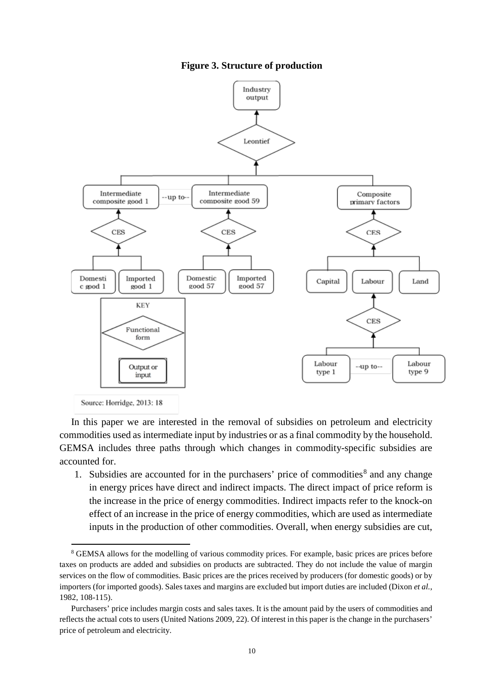#### **Figure 3. Structure of production**



Source: Horridge, 2013: 18

In this paper we are interested in the removal of subsidies on petroleum and electricity commodities used as intermediate input by industries or as a final commodity by the household. GEMSA includes three paths through which changes in commodity-specific subsidies are accounted for.

1. Subsidies are accounted for in the purchasers' price of commodities<sup>[8](#page-11-0)</sup> and any change in energy prices have direct and indirect impacts. The direct impact of price reform is the increase in the price of energy commodities. Indirect impacts refer to the knock-on effect of an increase in the price of energy commodities, which are used as intermediate inputs in the production of other commodities. Overall, when energy subsidies are cut,

<span id="page-11-0"></span><sup>&</sup>lt;sup>8</sup> GEMSA allows for the modelling of various commodity prices. For example, basic prices are prices before taxes on products are added and subsidies on products are subtracted. They do not include the value of margin services on the flow of commodities. Basic prices are the prices received by producers (for domestic goods) or by importers (for imported goods). Sales taxes and margins are excluded but import duties are included (Dixon *et al.*, 1982, 108-115).

Purchasers' price includes margin costs and sales taxes. It is the amount paid by the users of commodities and reflects the actual cots to users (United Nations 2009, 22). Of interest in this paper is the change in the purchasers' price of petroleum and electricity.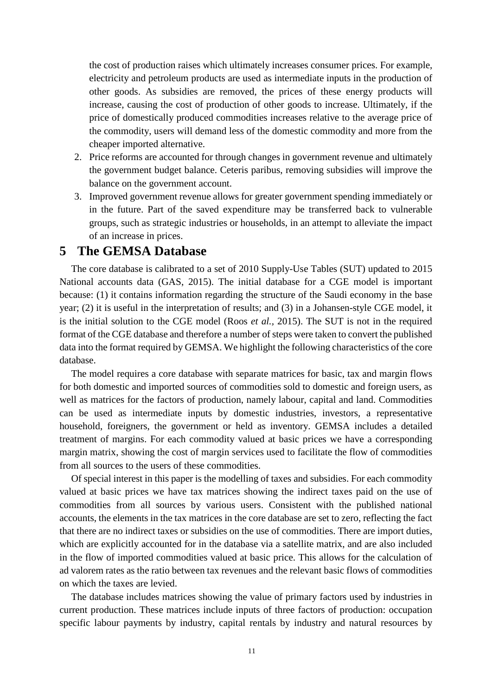the cost of production raises which ultimately increases consumer prices. For example, electricity and petroleum products are used as intermediate inputs in the production of other goods. As subsidies are removed, the prices of these energy products will increase, causing the cost of production of other goods to increase. Ultimately, if the price of domestically produced commodities increases relative to the average price of the commodity, users will demand less of the domestic commodity and more from the cheaper imported alternative.

- 2. Price reforms are accounted for through changes in government revenue and ultimately the government budget balance. Ceteris paribus, removing subsidies will improve the balance on the government account.
- 3. Improved government revenue allows for greater government spending immediately or in the future. Part of the saved expenditure may be transferred back to vulnerable groups, such as strategic industries or households, in an attempt to alleviate the impact of an increase in prices.

## <span id="page-12-0"></span>**5 The GEMSA Database**

The core database is calibrated to a set of 2010 Supply-Use Tables (SUT) updated to 2015 National accounts data (GAS, 2015). The initial database for a CGE model is important because: (1) it contains information regarding the structure of the Saudi economy in the base year; (2) it is useful in the interpretation of results; and (3) in a Johansen-style CGE model, it is the initial solution to the CGE model (Roos *et al.,* 2015). The SUT is not in the required format of the CGE database and therefore a number of steps were taken to convert the published data into the format required by GEMSA. We highlight the following characteristics of the core database.

The model requires a core database with separate matrices for basic, tax and margin flows for both domestic and imported sources of commodities sold to domestic and foreign users, as well as matrices for the factors of production, namely labour, capital and land. Commodities can be used as intermediate inputs by domestic industries, investors, a representative household, foreigners, the government or held as inventory. GEMSA includes a detailed treatment of margins. For each commodity valued at basic prices we have a corresponding margin matrix, showing the cost of margin services used to facilitate the flow of commodities from all sources to the users of these commodities.

Of special interest in this paper is the modelling of taxes and subsidies. For each commodity valued at basic prices we have tax matrices showing the indirect taxes paid on the use of commodities from all sources by various users. Consistent with the published national accounts, the elements in the tax matrices in the core database are set to zero, reflecting the fact that there are no indirect taxes or subsidies on the use of commodities. There are import duties, which are explicitly accounted for in the database via a satellite matrix, and are also included in the flow of imported commodities valued at basic price. This allows for the calculation of ad valorem rates as the ratio between tax revenues and the relevant basic flows of commodities on which the taxes are levied.

The database includes matrices showing the value of primary factors used by industries in current production. These matrices include inputs of three factors of production: occupation specific labour payments by industry, capital rentals by industry and natural resources by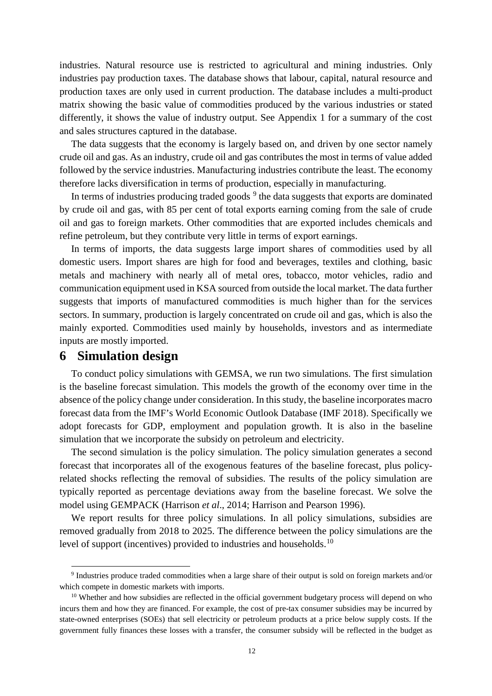industries. Natural resource use is restricted to agricultural and mining industries. Only industries pay production taxes. The database shows that labour, capital, natural resource and production taxes are only used in current production. The database includes a multi-product matrix showing the basic value of commodities produced by the various industries or stated differently, it shows the value of industry output. See Appendix 1 for a summary of the cost and sales structures captured in the database.

The data suggests that the economy is largely based on, and driven by one sector namely crude oil and gas. As an industry, crude oil and gas contributes the most in terms of value added followed by the service industries. Manufacturing industries contribute the least. The economy therefore lacks diversification in terms of production, especially in manufacturing.

In terms of industries producing traded goods  $9$  the data suggests that exports are dominated by crude oil and gas, with 85 per cent of total exports earning coming from the sale of crude oil and gas to foreign markets. Other commodities that are exported includes chemicals and refine petroleum, but they contribute very little in terms of export earnings.

In terms of imports, the data suggests large import shares of commodities used by all domestic users. Import shares are high for food and beverages, textiles and clothing, basic metals and machinery with nearly all of metal ores, tobacco, motor vehicles, radio and communication equipment used in KSA sourced from outside the local market. The data further suggests that imports of manufactured commodities is much higher than for the services sectors. In summary, production is largely concentrated on crude oil and gas, which is also the mainly exported. Commodities used mainly by households, investors and as intermediate inputs are mostly imported.

## <span id="page-13-0"></span>**6 Simulation design**

To conduct policy simulations with GEMSA, we run two simulations. The first simulation is the baseline forecast simulation. This models the growth of the economy over time in the absence of the policy change under consideration. In this study, the baseline incorporates macro forecast data from the IMF's World Economic Outlook Database (IMF 2018). Specifically we adopt forecasts for GDP, employment and population growth. It is also in the baseline simulation that we incorporate the subsidy on petroleum and electricity.

The second simulation is the policy simulation. The policy simulation generates a second forecast that incorporates all of the exogenous features of the baseline forecast, plus policyrelated shocks reflecting the removal of subsidies. The results of the policy simulation are typically reported as percentage deviations away from the baseline forecast. We solve the model using GEMPACK (Harrison *et al*., 2014; Harrison and Pearson 1996).

We report results for three policy simulations. In all policy simulations, subsidies are removed gradually from 2018 to 2025. The difference between the policy simulations are the level of support (incentives) provided to industries and households.<sup>[10](#page-13-2)</sup>

<span id="page-13-1"></span> <sup>9</sup> Industries produce traded commodities when a large share of their output is sold on foreign markets and/or which compete in domestic markets with imports.

<span id="page-13-2"></span><sup>&</sup>lt;sup>10</sup> Whether and how subsidies are reflected in the official government budgetary process will depend on who incurs them and how they are financed. For example, the cost of pre-tax consumer subsidies may be incurred by state-owned enterprises (SOEs) that sell electricity or petroleum products at a price below supply costs. If the government fully finances these losses with a transfer, the consumer subsidy will be reflected in the budget as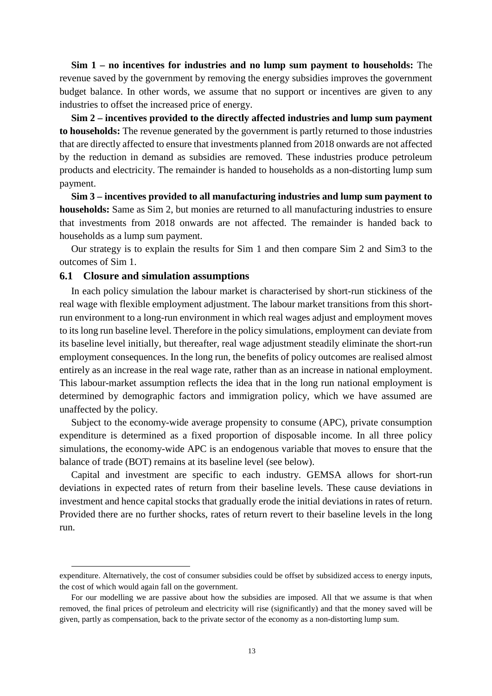**Sim 1 – no incentives for industries and no lump sum payment to households:** The revenue saved by the government by removing the energy subsidies improves the government budget balance. In other words, we assume that no support or incentives are given to any industries to offset the increased price of energy.

**Sim 2 – incentives provided to the directly affected industries and lump sum payment to households:** The revenue generated by the government is partly returned to those industries that are directly affected to ensure that investments planned from 2018 onwards are not affected by the reduction in demand as subsidies are removed. These industries produce petroleum products and electricity. The remainder is handed to households as a non-distorting lump sum payment.

**Sim 3 – incentives provided to all manufacturing industries and lump sum payment to households:** Same as Sim 2, but monies are returned to all manufacturing industries to ensure that investments from 2018 onwards are not affected. The remainder is handed back to households as a lump sum payment.

Our strategy is to explain the results for Sim 1 and then compare Sim 2 and Sim3 to the outcomes of Sim 1.

#### <span id="page-14-0"></span>**6.1 Closure and simulation assumptions**

In each policy simulation the labour market is characterised by short-run stickiness of the real wage with flexible employment adjustment. The labour market transitions from this shortrun environment to a long-run environment in which real wages adjust and employment moves to its long run baseline level. Therefore in the policy simulations, employment can deviate from its baseline level initially, but thereafter, real wage adjustment steadily eliminate the short-run employment consequences. In the long run, the benefits of policy outcomes are realised almost entirely as an increase in the real wage rate, rather than as an increase in national employment. This labour-market assumption reflects the idea that in the long run national employment is determined by demographic factors and immigration policy, which we have assumed are unaffected by the policy.

Subject to the economy-wide average propensity to consume (APC), private consumption expenditure is determined as a fixed proportion of disposable income. In all three policy simulations, the economy-wide APC is an endogenous variable that moves to ensure that the balance of trade (BOT) remains at its baseline level (see below).

Capital and investment are specific to each industry. GEMSA allows for short-run deviations in expected rates of return from their baseline levels. These cause deviations in investment and hence capital stocks that gradually erode the initial deviations in rates of return. Provided there are no further shocks, rates of return revert to their baseline levels in the long run.

expenditure. Alternatively, the cost of consumer subsidies could be offset by subsidized access to energy inputs, the cost of which would again fall on the government.

For our modelling we are passive about how the subsidies are imposed. All that we assume is that when removed, the final prices of petroleum and electricity will rise (significantly) and that the money saved will be given, partly as compensation, back to the private sector of the economy as a non-distorting lump sum.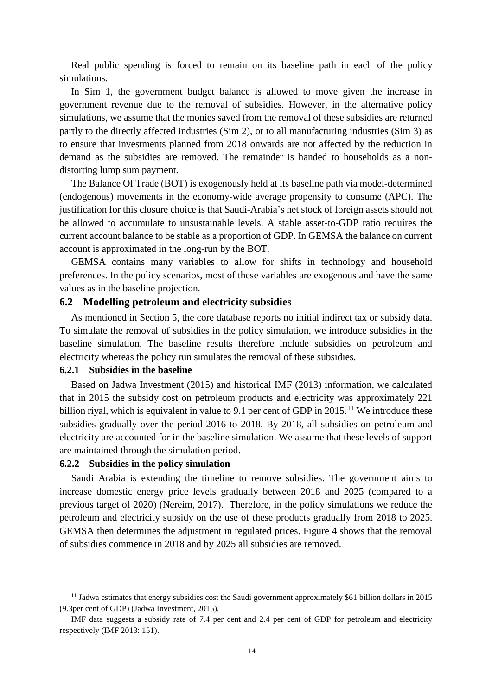Real public spending is forced to remain on its baseline path in each of the policy simulations.

In Sim 1, the government budget balance is allowed to move given the increase in government revenue due to the removal of subsidies. However, in the alternative policy simulations, we assume that the monies saved from the removal of these subsidies are returned partly to the directly affected industries (Sim 2), or to all manufacturing industries (Sim 3) as to ensure that investments planned from 2018 onwards are not affected by the reduction in demand as the subsidies are removed. The remainder is handed to households as a nondistorting lump sum payment.

The Balance Of Trade (BOT) is exogenously held at its baseline path via model-determined (endogenous) movements in the economy-wide average propensity to consume (APC). The justification for this closure choice is that Saudi-Arabia's net stock of foreign assets should not be allowed to accumulate to unsustainable levels. A stable asset-to-GDP ratio requires the current account balance to be stable as a proportion of GDP. In GEMSA the balance on current account is approximated in the long-run by the BOT.

GEMSA contains many variables to allow for shifts in technology and household preferences. In the policy scenarios, most of these variables are exogenous and have the same values as in the baseline projection.

#### <span id="page-15-0"></span>**6.2 Modelling petroleum and electricity subsidies**

As mentioned in Section 5, the core database reports no initial indirect tax or subsidy data. To simulate the removal of subsidies in the policy simulation, we introduce subsidies in the baseline simulation. The baseline results therefore include subsidies on petroleum and electricity whereas the policy run simulates the removal of these subsidies.

#### <span id="page-15-1"></span>**6.2.1 Subsidies in the baseline**

Based on Jadwa Investment (2015) and historical IMF (2013) information, we calculated that in 2015 the subsidy cost on petroleum products and electricity was approximately 221 billion riyal, which is equivalent in value to 9.1 per cent of GDP in  $2015$ .<sup>[11](#page-15-3)</sup> We introduce these subsidies gradually over the period 2016 to 2018. By 2018, all subsidies on petroleum and electricity are accounted for in the baseline simulation. We assume that these levels of support are maintained through the simulation period.

#### <span id="page-15-2"></span>**6.2.2 Subsidies in the policy simulation**

Saudi Arabia is extending the timeline to remove subsidies. The government aims to increase domestic energy price levels gradually between 2018 and 2025 (compared to a previous target of 2020) (Nereim, 2017). Therefore, in the policy simulations we reduce the petroleum and electricity subsidy on the use of these products gradually from 2018 to 2025. GEMSA then determines the adjustment in regulated prices. Figure 4 shows that the removal of subsidies commence in 2018 and by 2025 all subsidies are removed.

<span id="page-15-3"></span><sup>&</sup>lt;sup>11</sup> Jadwa estimates that energy subsidies cost the Saudi government approximately \$61 billion dollars in 2015 (9.3per cent of GDP) (Jadwa Investment, 2015).

IMF data suggests a subsidy rate of 7.4 per cent and 2.4 per cent of GDP for petroleum and electricity respectively (IMF 2013: 151).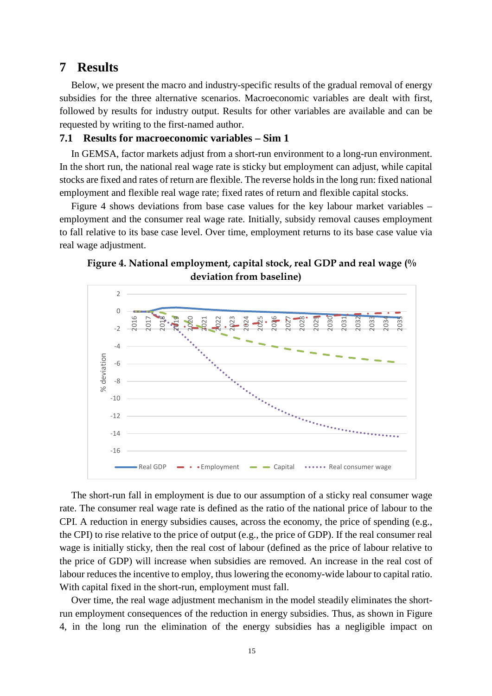## <span id="page-16-0"></span>**7 Results**

Below, we present the macro and industry-specific results of the gradual removal of energy subsidies for the three alternative scenarios. Macroeconomic variables are dealt with first, followed by results for industry output. Results for other variables are available and can be requested by writing to the first-named author.

#### <span id="page-16-1"></span>**7.1 Results for macroeconomic variables – Sim 1**

In GEMSA, factor markets adjust from a short-run environment to a long-run environment. In the short run, the national real wage rate is sticky but employment can adjust, while capital stocks are fixed and rates of return are flexible. The reverse holds in the long run: fixed national employment and flexible real wage rate; fixed rates of return and flexible capital stocks.

Figure 4 shows deviations from base case values for the key labour market variables – employment and the consumer real wage rate. Initially, subsidy removal causes employment to fall relative to its base case level. Over time, employment returns to its base case value via real wage adjustment.

**Figure 4. National employment, capital stock, real GDP and real wage (% deviation from baseline)**



The short-run fall in employment is due to our assumption of a sticky real consumer wage rate. The consumer real wage rate is defined as the ratio of the national price of labour to the CPI. A reduction in energy subsidies causes, across the economy, the price of spending (e.g., the CPI) to rise relative to the price of output (e.g., the price of GDP). If the real consumer real wage is initially sticky, then the real cost of labour (defined as the price of labour relative to the price of GDP) will increase when subsidies are removed. An increase in the real cost of labour reduces the incentive to employ, thus lowering the economy-wide labour to capital ratio. With capital fixed in the short-run, employment must fall.

Over time, the real wage adjustment mechanism in the model steadily eliminates the shortrun employment consequences of the reduction in energy subsidies. Thus, as shown in Figure 4, in the long run the elimination of the energy subsidies has a negligible impact on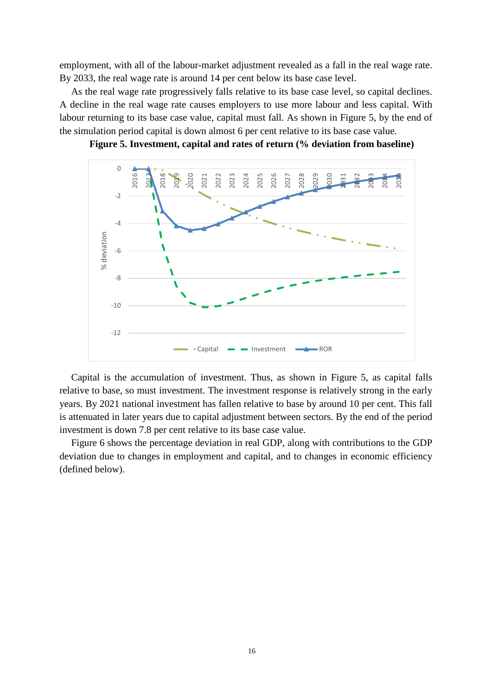employment, with all of the labour-market adjustment revealed as a fall in the real wage rate. By 2033, the real wage rate is around 14 per cent below its base case level.

As the real wage rate progressively falls relative to its base case level, so capital declines. A decline in the real wage rate causes employers to use more labour and less capital. With labour returning to its base case value, capital must fall. As shown in Figure 5, by the end of the simulation period capital is down almost 6 per cent relative to its base case value.





Capital is the accumulation of investment. Thus, as shown in Figure 5, as capital falls relative to base, so must investment. The investment response is relatively strong in the early years. By 2021 national investment has fallen relative to base by around 10 per cent. This fall is attenuated in later years due to capital adjustment between sectors. By the end of the period investment is down 7.8 per cent relative to its base case value.

Figure 6 shows the percentage deviation in real GDP, along with contributions to the GDP deviation due to changes in employment and capital, and to changes in economic efficiency (defined below).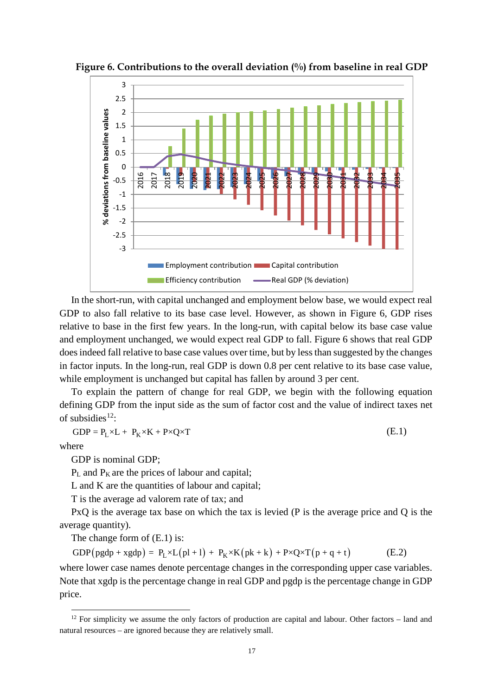

**Figure 6. Contributions to the overall deviation (%) from baseline in real GDP**

In the short-run, with capital unchanged and employment below base, we would expect real GDP to also fall relative to its base case level. However, as shown in Figure 6, GDP rises relative to base in the first few years. In the long-run, with capital below its base case value and employment unchanged, we would expect real GDP to fall. Figure 6 shows that real GDP does indeed fall relative to base case values over time, but by less than suggested by the changes in factor inputs. In the long-run, real GDP is down 0.8 per cent relative to its base case value, while employment is unchanged but capital has fallen by around 3 per cent.

To explain the pattern of change for real GDP, we begin with the following equation defining GDP from the input side as the sum of factor cost and the value of indirect taxes net of subsidies $12$ :

$$
GDP = P_L \times L + P_K \times K + P \times Q \times T \tag{E.1}
$$

where

GDP is nominal GDP;

 $P_L$  and  $P_K$  are the prices of labour and capital;

L and K are the quantities of labour and capital;

T is the average ad valorem rate of tax; and

PxQ is the average tax base on which the tax is levied (P is the average price and Q is the average quantity).

The change form of (E.1) is:

GDP(pgdp + xgdp) =  $P_L \times L(pI + 1) + P_K \times K(pk + k) + P \times Q \times T(p + q + t)$  (E.2)

where lower case names denote percentage changes in the corresponding upper case variables. Note that xgdp is the percentage change in real GDP and pgdp is the percentage change in GDP price.

<span id="page-18-0"></span> $12$  For simplicity we assume the only factors of production are capital and labour. Other factors – land and natural resources – are ignored because they are relatively small.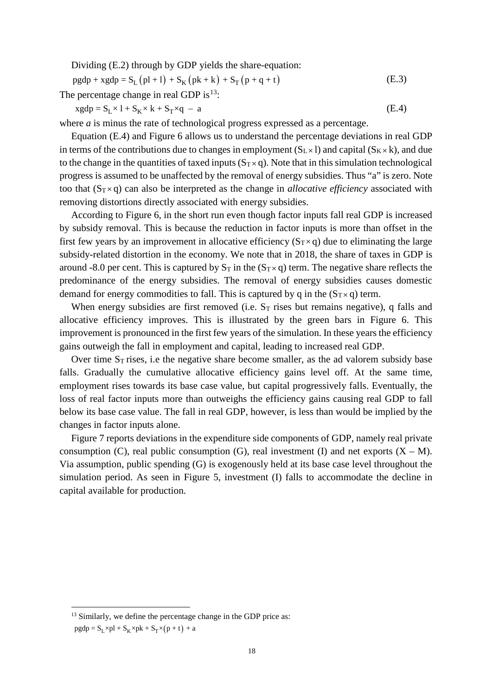Dividing (E.2) through by GDP yields the share-equation:

 $pgdp + xgdp = S_L (pl + 1) + S_K (pk + k) + S_T (p + q + t)$  (E.3)

The percentage change in real GDP is  $13$ :

$$
xgdp = S_L \times 1 + S_K \times k + S_T \times q - a \tag{E.4}
$$

where *a* is minus the rate of technological progress expressed as a percentage.

Equation (E.4) and Figure 6 allows us to understand the percentage deviations in real GDP in terms of the contributions due to changes in employment  $(S_{L\times}l)$  and capital  $(S_{K\times}k)$ , and due to the change in the quantities of taxed inputs  $(S_T \times q)$ . Note that in this simulation technological progress is assumed to be unaffected by the removal of energy subsidies. Thus "a" is zero. Note too that  $(S_T \times q)$  can also be interpreted as the change in *allocative efficiency* associated with removing distortions directly associated with energy subsidies.

According to Figure 6, in the short run even though factor inputs fall real GDP is increased by subsidy removal. This is because the reduction in factor inputs is more than offset in the first few years by an improvement in allocative efficiency  $(S_T \times q)$  due to eliminating the large subsidy-related distortion in the economy. We note that in 2018, the share of taxes in GDP is around -8.0 per cent. This is captured by  $S_T$  in the  $(S_T \times q)$  term. The negative share reflects the predominance of the energy subsidies. The removal of energy subsidies causes domestic demand for energy commodities to fall. This is captured by q in the  $(S_T \times q)$  term.

When energy subsidies are first removed (i.e.  $S_T$  rises but remains negative), q falls and allocative efficiency improves. This is illustrated by the green bars in Figure 6. This improvement is pronounced in the first few years of the simulation. In these years the efficiency gains outweigh the fall in employment and capital, leading to increased real GDP.

Over time  $S_T$  rises, i.e the negative share become smaller, as the ad valorem subsidy base falls. Gradually the cumulative allocative efficiency gains level off. At the same time, employment rises towards its base case value, but capital progressively falls. Eventually, the loss of real factor inputs more than outweighs the efficiency gains causing real GDP to fall below its base case value. The fall in real GDP, however, is less than would be implied by the changes in factor inputs alone.

Figure 7 reports deviations in the expenditure side components of GDP, namely real private consumption (C), real public consumption (G), real investment (I) and net exports  $(X - M)$ . Via assumption, public spending (G) is exogenously held at its base case level throughout the simulation period. As seen in Figure 5, investment (I) falls to accommodate the decline in capital available for production.

<span id="page-19-0"></span><sup>&</sup>lt;sup>13</sup> Similarly, we define the percentage change in the GDP price as:

 $pgdp = S_L \times pl + S_K \times pk + S_T \times (p + t) + a$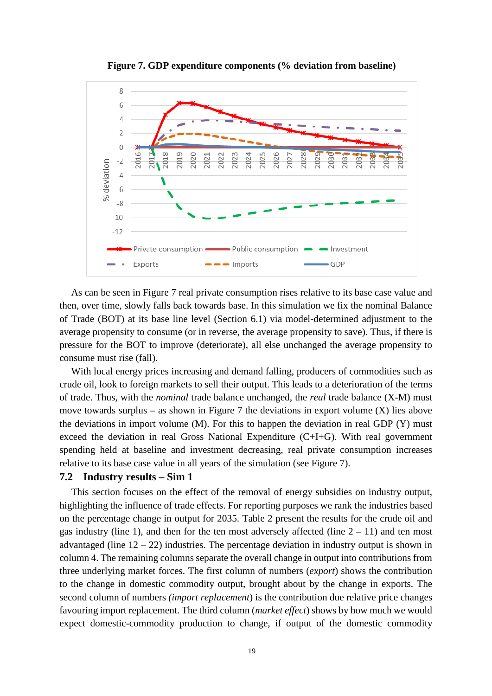

**Figure 7. GDP expenditure components (% deviation from baseline)**

As can be seen in Figure 7 real private consumption rises relative to its base case value and then, over time, slowly falls back towards base. In this simulation we fix the nominal Balance of Trade (BOT) at its base line level (Section 6.1) via model-determined adjustment to the average propensity to consume (or in reverse, the average propensity to save). Thus, if there is pressure for the BOT to improve (deteriorate), all else unchanged the average propensity to consume must rise (fall).

With local energy prices increasing and demand falling, producers of commodities such as crude oil, look to foreign markets to sell their output. This leads to a deterioration of the terms of trade. Thus, with the *nominal* trade balance unchanged, the *real* trade balance (X-M) must move towards surplus – as shown in Figure 7 the deviations in export volume  $(X)$  lies above the deviations in import volume  $(M)$ . For this to happen the deviation in real GDP  $(Y)$  must exceed the deviation in real Gross National Expenditure (C+I+G). With real government spending held at baseline and investment decreasing, real private consumption increases relative to its base case value in all years of the simulation (see Figure 7).

#### <span id="page-20-0"></span>**7.2 Industry results – Sim 1**

This section focuses on the effect of the removal of energy subsidies on industry output, highlighting the influence of trade effects. For reporting purposes we rank the industries based on the percentage change in output for 2035. Table 2 present the results for the crude oil and gas industry (line 1), and then for the ten most adversely affected (line  $2 - 11$ ) and ten most advantaged (line  $12 - 22$ ) industries. The percentage deviation in industry output is shown in column 4. The remaining columns separate the overall change in output into contributions from three underlying market forces. The first column of numbers (*export*) shows the contribution to the change in domestic commodity output, brought about by the change in exports. The second column of numbers *(import replacement*) is the contribution due relative price changes favouring import replacement. The third column (*market effect*) shows by how much we would expect domestic-commodity production to change, if output of the domestic commodity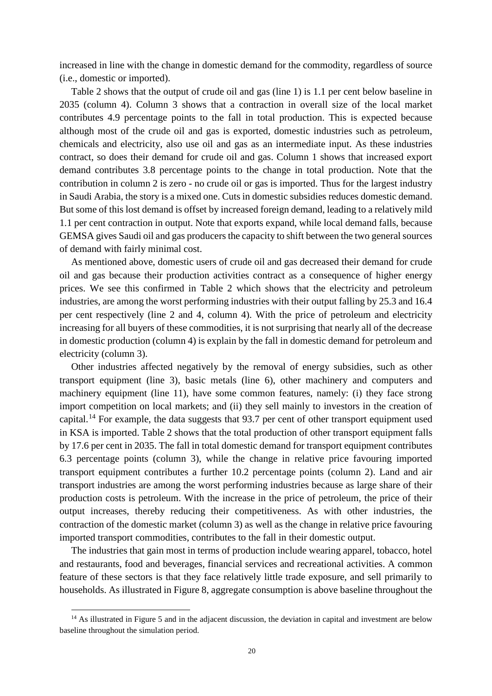increased in line with the change in domestic demand for the commodity, regardless of source (i.e., domestic or imported).

Table 2 shows that the output of crude oil and gas (line 1) is 1.1 per cent below baseline in 2035 (column 4). Column 3 shows that a contraction in overall size of the local market contributes 4.9 percentage points to the fall in total production. This is expected because although most of the crude oil and gas is exported, domestic industries such as petroleum, chemicals and electricity, also use oil and gas as an intermediate input. As these industries contract, so does their demand for crude oil and gas. Column 1 shows that increased export demand contributes 3.8 percentage points to the change in total production. Note that the contribution in column 2 is zero - no crude oil or gas is imported. Thus for the largest industry in Saudi Arabia, the story is a mixed one. Cuts in domestic subsidies reduces domestic demand. But some of this lost demand is offset by increased foreign demand, leading to a relatively mild 1.1 per cent contraction in output. Note that exports expand, while local demand falls, because GEMSA gives Saudi oil and gas producers the capacity to shift between the two general sources of demand with fairly minimal cost.

As mentioned above, domestic users of crude oil and gas decreased their demand for crude oil and gas because their production activities contract as a consequence of higher energy prices. We see this confirmed in Table 2 which shows that the electricity and petroleum industries, are among the worst performing industries with their output falling by 25.3 and 16.4 per cent respectively (line 2 and 4, column 4). With the price of petroleum and electricity increasing for all buyers of these commodities, it is not surprising that nearly all of the decrease in domestic production (column 4) is explain by the fall in domestic demand for petroleum and electricity (column 3).

Other industries affected negatively by the removal of energy subsidies, such as other transport equipment (line 3), basic metals (line 6), other machinery and computers and machinery equipment (line 11), have some common features, namely: (i) they face strong import competition on local markets; and (ii) they sell mainly to investors in the creation of capital.<sup>[14](#page-21-0)</sup> For example, the data suggests that 93.7 per cent of other transport equipment used in KSA is imported. Table 2 shows that the total production of other transport equipment falls by 17.6 per cent in 2035. The fall in total domestic demand for transport equipment contributes 6.3 percentage points (column 3), while the change in relative price favouring imported transport equipment contributes a further 10.2 percentage points (column 2). Land and air transport industries are among the worst performing industries because as large share of their production costs is petroleum. With the increase in the price of petroleum, the price of their output increases, thereby reducing their competitiveness. As with other industries, the contraction of the domestic market (column 3) as well as the change in relative price favouring imported transport commodities, contributes to the fall in their domestic output.

The industries that gain most in terms of production include wearing apparel, tobacco, hotel and restaurants, food and beverages, financial services and recreational activities. A common feature of these sectors is that they face relatively little trade exposure, and sell primarily to households. As illustrated in Figure 8, aggregate consumption is above baseline throughout the

<span id="page-21-0"></span><sup>&</sup>lt;sup>14</sup> As illustrated in Figure 5 and in the adjacent discussion, the deviation in capital and investment are below baseline throughout the simulation period.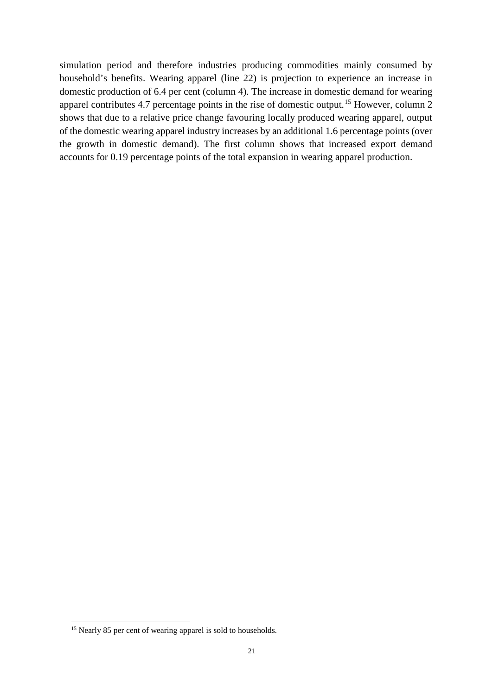simulation period and therefore industries producing commodities mainly consumed by household's benefits. Wearing apparel (line 22) is projection to experience an increase in domestic production of 6.4 per cent (column 4). The increase in domestic demand for wearing apparel contributes 4.7 percentage points in the rise of domestic output.<sup>[15](#page-22-0)</sup> However, column 2 shows that due to a relative price change favouring locally produced wearing apparel, output of the domestic wearing apparel industry increases by an additional 1.6 percentage points (over the growth in domestic demand). The first column shows that increased export demand accounts for 0.19 percentage points of the total expansion in wearing apparel production.

<span id="page-22-0"></span><sup>&</sup>lt;sup>15</sup> Nearly 85 per cent of wearing apparel is sold to households.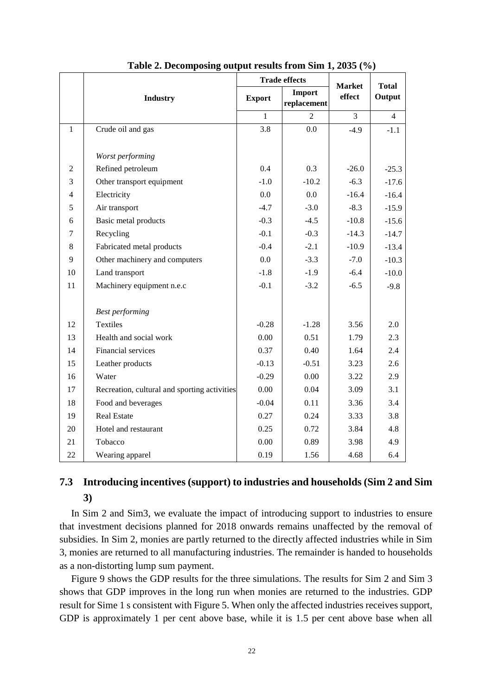|                |                                              | <b>Trade effects</b> |                       |                         |                        |
|----------------|----------------------------------------------|----------------------|-----------------------|-------------------------|------------------------|
|                | <b>Industry</b>                              | <b>Export</b>        | Import<br>replacement | <b>Market</b><br>effect | <b>Total</b><br>Output |
|                |                                              | $\mathbf{1}$         | $\overline{2}$        | $\overline{3}$          | 4                      |
| $\mathbf{1}$   | Crude oil and gas                            | 3.8                  | 0.0                   | $-4.9$                  | $-1.1$                 |
|                |                                              |                      |                       |                         |                        |
|                | Worst performing                             |                      |                       |                         |                        |
| $\overline{2}$ | Refined petroleum                            | 0.4                  | 0.3                   | $-26.0$                 | $-25.3$                |
| 3              | Other transport equipment                    | $-1.0$               | $-10.2$               | $-6.3$                  | $-17.6$                |
| 4              | Electricity                                  | 0.0                  | 0.0                   | $-16.4$                 | $-16.4$                |
| 5              | Air transport                                | $-4.7$               | $-3.0$                | $-8.3$                  | $-15.9$                |
| 6              | Basic metal products                         | $-0.3$               | $-4.5$                | $-10.8$                 | $-15.6$                |
| 7              | Recycling                                    | $-0.1$               | $-0.3$                | $-14.3$                 | $-14.7$                |
| 8              | Fabricated metal products                    | $-0.4$               | $-2.1$                | $-10.9$                 | $-13.4$                |
| 9              | Other machinery and computers                | 0.0                  | $-3.3$                | $-7.0$                  | $-10.3$                |
| 10             | Land transport                               | $-1.8$               | $-1.9$                | $-6.4$                  | $-10.0$                |
| 11             | Machinery equipment n.e.c                    | $-0.1$               | $-3.2$                | $-6.5$                  | $-9.8$                 |
|                |                                              |                      |                       |                         |                        |
|                | <b>Best performing</b>                       |                      |                       |                         |                        |
| 12             | Textiles                                     | $-0.28$              | $-1.28$               | 3.56                    | 2.0                    |
| 13             | Health and social work                       | 0.00                 | 0.51                  | 1.79                    | 2.3                    |
| 14             | <b>Financial services</b>                    | 0.37                 | 0.40                  | 1.64                    | 2.4                    |
| 15             | Leather products                             | $-0.13$              | $-0.51$               | 3.23                    | 2.6                    |
| 16             | Water                                        | $-0.29$              | 0.00                  | 3.22                    | 2.9                    |
| 17             | Recreation, cultural and sporting activities | 0.00                 | 0.04                  | 3.09                    | 3.1                    |
| 18             | Food and beverages                           | $-0.04$              | 0.11                  | 3.36                    | 3.4                    |
| 19             | <b>Real Estate</b>                           | 0.27                 | 0.24                  | 3.33                    | 3.8                    |
| 20             | Hotel and restaurant                         | 0.25                 | 0.72                  | 3.84                    | 4.8                    |
| 21             | Tobacco                                      | 0.00                 | 0.89                  | 3.98                    | 4.9                    |
| 22             | Wearing apparel                              | 0.19                 | 1.56                  | 4.68                    | 6.4                    |

**Table 2. Decomposing output results from Sim 1, 2035 (%)**

## <span id="page-23-0"></span>**7.3 Introducing incentives (support) to industries and households (Sim 2 and Sim 3)**

In Sim 2 and Sim3, we evaluate the impact of introducing support to industries to ensure that investment decisions planned for 2018 onwards remains unaffected by the removal of subsidies. In Sim 2, monies are partly returned to the directly affected industries while in Sim 3, monies are returned to all manufacturing industries. The remainder is handed to households as a non-distorting lump sum payment.

Figure 9 shows the GDP results for the three simulations. The results for Sim 2 and Sim 3 shows that GDP improves in the long run when monies are returned to the industries. GDP result for Sime 1 s consistent with Figure 5. When only the affected industries receives support, GDP is approximately 1 per cent above base, while it is 1.5 per cent above base when all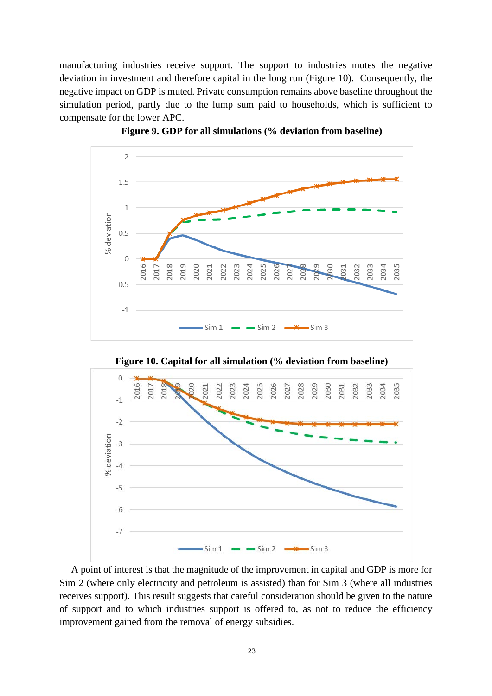manufacturing industries receive support. The support to industries mutes the negative deviation in investment and therefore capital in the long run (Figure 10). Consequently, the negative impact on GDP is muted. Private consumption remains above baseline throughout the simulation period, partly due to the lump sum paid to households, which is sufficient to compensate for the lower APC.







**Figure 10. Capital for all simulation (% deviation from baseline)**

A point of interest is that the magnitude of the improvement in capital and GDP is more for Sim 2 (where only electricity and petroleum is assisted) than for Sim 3 (where all industries receives support). This result suggests that careful consideration should be given to the nature of support and to which industries support is offered to, as not to reduce the efficiency improvement gained from the removal of energy subsidies.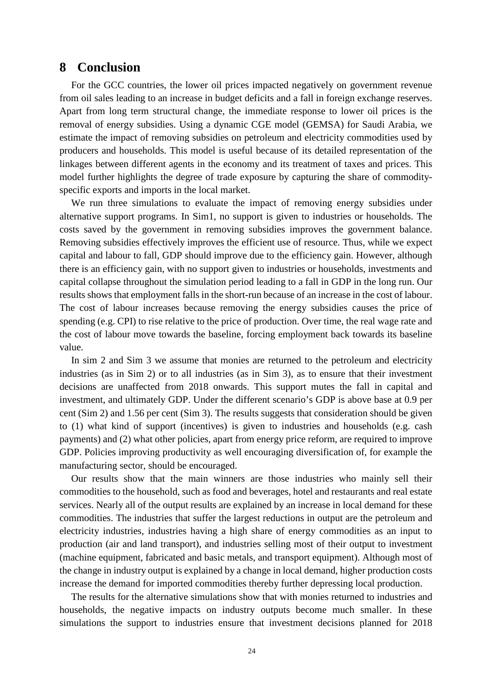## <span id="page-25-0"></span>**8 Conclusion**

For the GCC countries, the lower oil prices impacted negatively on government revenue from oil sales leading to an increase in budget deficits and a fall in foreign exchange reserves. Apart from long term structural change, the immediate response to lower oil prices is the removal of energy subsidies. Using a dynamic CGE model (GEMSA) for Saudi Arabia, we estimate the impact of removing subsidies on petroleum and electricity commodities used by producers and households. This model is useful because of its detailed representation of the linkages between different agents in the economy and its treatment of taxes and prices. This model further highlights the degree of trade exposure by capturing the share of commodityspecific exports and imports in the local market.

We run three simulations to evaluate the impact of removing energy subsidies under alternative support programs. In Sim1, no support is given to industries or households. The costs saved by the government in removing subsidies improves the government balance. Removing subsidies effectively improves the efficient use of resource. Thus, while we expect capital and labour to fall, GDP should improve due to the efficiency gain. However, although there is an efficiency gain, with no support given to industries or households, investments and capital collapse throughout the simulation period leading to a fall in GDP in the long run. Our results shows that employment falls in the short-run because of an increase in the cost of labour. The cost of labour increases because removing the energy subsidies causes the price of spending (e.g. CPI) to rise relative to the price of production. Over time, the real wage rate and the cost of labour move towards the baseline, forcing employment back towards its baseline value.

In sim 2 and Sim 3 we assume that monies are returned to the petroleum and electricity industries (as in Sim 2) or to all industries (as in Sim 3), as to ensure that their investment decisions are unaffected from 2018 onwards. This support mutes the fall in capital and investment, and ultimately GDP. Under the different scenario's GDP is above base at 0.9 per cent (Sim 2) and 1.56 per cent (Sim 3). The results suggests that consideration should be given to (1) what kind of support (incentives) is given to industries and households (e.g. cash payments) and (2) what other policies, apart from energy price reform, are required to improve GDP. Policies improving productivity as well encouraging diversification of, for example the manufacturing sector, should be encouraged.

Our results show that the main winners are those industries who mainly sell their commodities to the household, such as food and beverages, hotel and restaurants and real estate services. Nearly all of the output results are explained by an increase in local demand for these commodities. The industries that suffer the largest reductions in output are the petroleum and electricity industries, industries having a high share of energy commodities as an input to production (air and land transport), and industries selling most of their output to investment (machine equipment, fabricated and basic metals, and transport equipment). Although most of the change in industry output is explained by a change in local demand, higher production costs increase the demand for imported commodities thereby further depressing local production.

The results for the alternative simulations show that with monies returned to industries and households, the negative impacts on industry outputs become much smaller. In these simulations the support to industries ensure that investment decisions planned for 2018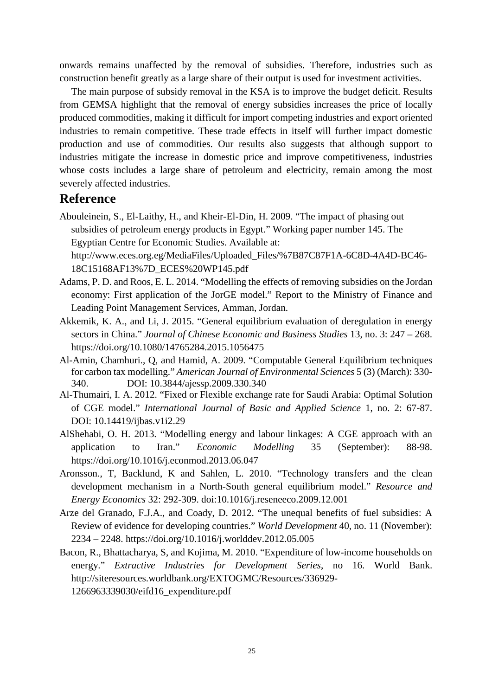onwards remains unaffected by the removal of subsidies. Therefore, industries such as construction benefit greatly as a large share of their output is used for investment activities.

The main purpose of subsidy removal in the KSA is to improve the budget deficit. Results from GEMSA highlight that the removal of energy subsidies increases the price of locally produced commodities, making it difficult for import competing industries and export oriented industries to remain competitive. These trade effects in itself will further impact domestic production and use of commodities. Our results also suggests that although support to industries mitigate the increase in domestic price and improve competitiveness, industries whose costs includes a large share of petroleum and electricity, remain among the most severely affected industries.

## <span id="page-26-0"></span>**Reference**

Abouleinein, S., El-Laithy, H., and Kheir-El-Din, H. 2009. "The impact of phasing out subsidies of petroleum energy products in Egypt." Working paper number 145. The Egyptian Centre for Economic Studies. Available at:

[http://www.eces.org.eg/MediaFiles/Uploaded\\_Files/%7B87C87F1A-6C8D-4A4D-BC46-](http://www.eces.org.eg/MediaFiles/Uploaded_Files/%7B87C87F1A-6C8D-4A4D-BC46-18C15168AF13%7D_ECES%20WP145.pdf) [18C15168AF13%7D\\_ECES%20WP145.pdf](http://www.eces.org.eg/MediaFiles/Uploaded_Files/%7B87C87F1A-6C8D-4A4D-BC46-18C15168AF13%7D_ECES%20WP145.pdf)

- Adams, P. D. and Roos, E. L. 2014. "Modelling the effects of removing subsidies on the Jordan economy: First application of the JorGE model." Report to the Ministry of Finance and Leading Point Management Services, Amman, Jordan.
- Akkemik, K. A., and Li, J. 2015. "General equilibrium evaluation of deregulation in energy sectors in China." *Journal of Chinese Economic and Business Studies* 13, no. 3: 247 – 268. <https://doi.org/10.1080/14765284.2015.1056475>
- Al-Amin, Chamhuri., Q, and Hamid, A. 2009. "Computable General Equilibrium techniques for carbon tax modelling." *American Journal of Environmental Sciences* 5 (3) (March): 330- 340. DOI: 10.3844/ajessp.2009.330.340
- Al-Thumairi, I. A. 2012. "Fixed or Flexible exchange rate for Saudi Arabia: Optimal Solution of CGE model." *International Journal of Basic and Applied Science* 1, no. 2: 67-87. DOI: [10.14419/ijbas.v1i2.29](http://dx.doi.org/10.14419/ijbas.v1i2.29)
- AlShehabi, O. H. 2013. "Modelling energy and labour linkages: A CGE approach with an application to Iran." *Economic Modelling* 35 (September): 88-98. <https://doi.org/10.1016/j.econmod.2013.06.047>
- Aronsson., T, Backlund, K and Sahlen, L. 2010. "Technology transfers and the clean development mechanism in a North-South general equilibrium model." *Resource and Energy Economics* 32: 292-309. doi:10.1016/j.reseneeco.2009.12.001
- Arze del Granado, F.J.A., and Coady, D. 2012. "The unequal benefits of fuel subsidies: A Review of evidence for developing countries." *World Development* 40, no. 11 (November): 2234 – 2248. <https://doi.org/10.1016/j.worlddev.2012.05.005>
- Bacon, R., Bhattacharya, S, and Kojima, M. 2010. "Expenditure of low-income households on energy." *Extractive Industries for Development Series*, no 16. World Bank. http://siteresources.worldbank.org/EXTOGMC/Resources/336929- 1266963339030/eifd16\_expenditure.pdf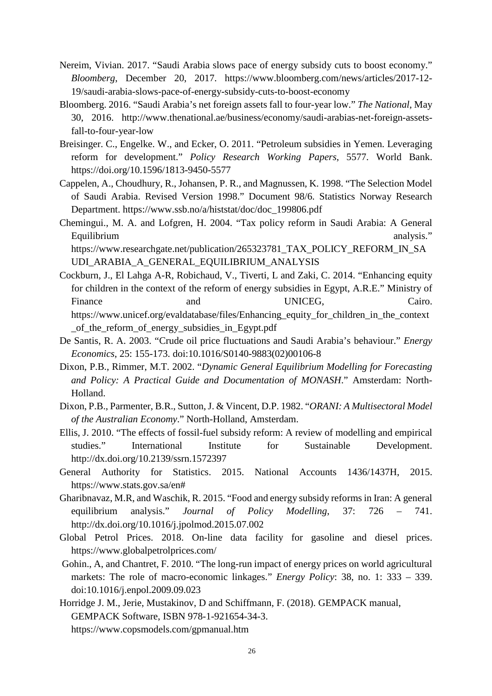- Nereim, Vivian. 2017. "Saudi Arabia slows pace of energy subsidy cuts to boost economy." *Bloomberg*, December 20, 2017. [https://www.bloomberg.com/news/articles/2017-12-](https://www.bloomberg.com/news/articles/2017-12-19/saudi-arabia-slows-pace-of-energy-subsidy-cuts-to-boost-economy) [19/saudi-arabia-slows-pace-of-energy-subsidy-cuts-to-boost-economy](https://www.bloomberg.com/news/articles/2017-12-19/saudi-arabia-slows-pace-of-energy-subsidy-cuts-to-boost-economy)
- Bloomberg. 2016. "Saudi Arabia's net foreign assets fall to four-year low." *The National*, May 30, 2016. [http://www.thenational.ae/business/economy/saudi-arabias-net-foreign-assets](http://www.thenational.ae/business/economy/saudi-arabias-net-foreign-assets-fall-to-four-year-low)[fall-to-four-year-low](http://www.thenational.ae/business/economy/saudi-arabias-net-foreign-assets-fall-to-four-year-low)
- Breisinger. C., Engelke. W., and Ecker, O. 2011. "Petroleum subsidies in Yemen. Leveraging reform for development." *Policy Research Working Papers*, 5577. World Bank. <https://doi.org/10.1596/1813-9450-5577>
- Cappelen, A., Choudhury, R., Johansen, P. R., and Magnussen, K. 1998. "The Selection Model of Saudi Arabia. Revised Version 1998." Document 98/6. Statistics Norway Research Department. [https://www.ssb.no/a/histstat/doc/doc\\_199806.pdf](https://www.ssb.no/a/histstat/doc/doc_199806.pdf)
- Chemingui., M. A. and Lofgren, H. 2004. "Tax policy reform in Saudi Arabia: A General Equilibrium analysis." Analysis." https://www.researchgate.net/publication/265323781\_TAX\_POLICY\_REFORM\_IN\_SA UDI\_ARABIA\_A\_GENERAL\_EQUILIBRIUM\_ANALYSIS
- Cockburn, J., El Lahga A-R, Robichaud, V., Tiverti, L and Zaki, C. 2014. "Enhancing equity for children in the context of the reform of energy subsidies in Egypt, A.R.E." Ministry of Finance and UNICEG, Cairo. https://www.unicef.org/evaldatabase/files/Enhancing equity for children in the context \_of\_the\_reform\_of\_energy\_subsidies\_in\_Egypt.pdf
- De Santis, R. A. 2003. "Crude oil price fluctuations and Saudi Arabia's behaviour." *Energy Economics*, 25: 155-173. doi:10.1016/S0140-9883(02)00106-8
- Dixon, P.B., Rimmer, M.T. 2002. "*Dynamic General Equilibrium Modelling for Forecasting and Policy: A Practical Guide and Documentation of MONASH*." Amsterdam: North-Holland.
- Dixon, P.B., Parmenter, B.R., Sutton, J. & Vincent, D.P. 1982. "*ORANI: A Multisectoral Model of the Australian Economy*." North-Holland, Amsterdam.
- Ellis, J. 2010. "The effects of fossil-fuel subsidy reform: A review of modelling and empirical studies." International Institute for Sustainable Development. [http://dx.doi.org/10.2139/ssrn.1572397](https://dx.doi.org/10.2139/ssrn.1572397)
- General Authority for Statistics. 2015. National Accounts 1436/1437H, 2015. [https://www.stats.gov.sa/en#](https://www.stats.gov.sa/en)
- Gharibnavaz, M.R, and Waschik, R. 2015. "Food and energy subsidy reforms in Iran: A general equilibrium analysis." *Journal of Policy Modelling*, 37: 726 – 741. http://dx.doi.org/10.1016/j.jpolmod.2015.07.002
- Global Petrol Prices. 2018. On-line data facility for gasoline and diesel prices. https://www.globalpetrolprices.com/
- Gohin., A, and Chantret, F. 2010. "The long-run impact of energy prices on world agricultural markets: The role of macro-economic linkages." *Energy Policy*: 38, no. 1: 333 – 339. doi:10.1016/j.enpol.2009.09.023
- Horridge J. M., Jerie, Mustakinov, D and Schiffmann, F. (2018). GEMPACK manual, GEMPACK Software, ISBN 978-1-921654-34-3. https://www.copsmodels.com/gpmanual.htm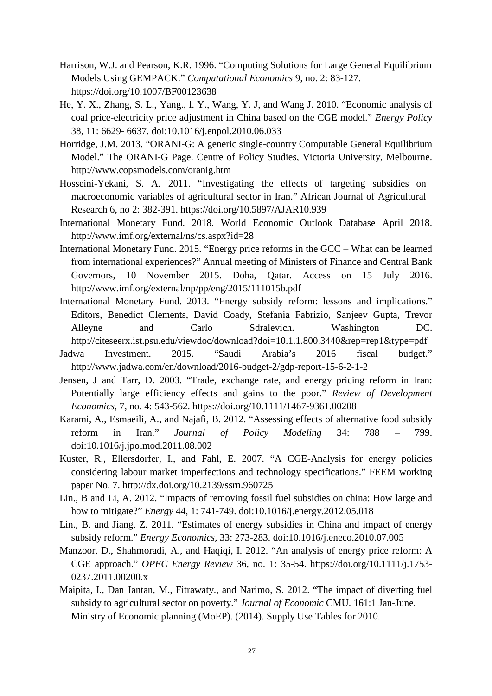- Harrison, W.J. and Pearson, K.R. 1996. "Computing Solutions for Large General Equilibrium Models Using GEMPACK." *Computational Economics* 9, no. 2: 83-127. https://doi.org/10.1007/BF00123638
- He, Y. X., Zhang, S. L., Yang., l. Y., Wang, Y. J, and Wang J. 2010. "Economic analysis of coal price-electricity price adjustment in China based on the CGE model." *Energy Policy* 38, 11: 6629- 6637. doi:10.1016/j.enpol.2010.06.033
- Horridge, J.M. 2013. "ORANI-G: A generic single-country Computable General Equilibrium Model." The ORANI-G Page. Centre of Policy Studies, Victoria University, Melbourne. http://www.copsmodels.com/oranig.htm
- Hosseini-Yekani, S. A. 2011. "Investigating the effects of targeting subsidies on macroeconomic variables of agricultural sector in Iran." African Journal of Agricultural Research 6, no 2: 382-391. <https://doi.org/10.5897/AJAR10.939>
- International Monetary Fund. 2018. World Economic Outlook Database April 2018. <http://www.imf.org/external/ns/cs.aspx?id=28>
- International Monetary Fund. 2015. "Energy price reforms in the GCC What can be learned from international experiences?" Annual meeting of Ministers of Finance and Central Bank Governors, 10 November 2015. Doha, Qatar. Access on 15 July 2016. <http://www.imf.org/external/np/pp/eng/2015/111015b.pdf>
- International Monetary Fund. 2013. "Energy subsidy reform: lessons and implications." Editors, Benedict Clements, David Coady, Stefania Fabrizio, Sanjeev Gupta, Trevor Alleyne and Carlo Sdralevich. Washington DC. <http://citeseerx.ist.psu.edu/viewdoc/download?doi=10.1.1.800.3440&rep=rep1&type=pdf>
- Jadwa Investment. 2015. "Saudi Arabia's 2016 fiscal budget." <http://www.jadwa.com/en/download/2016-budget-2/gdp-report-15-6-2-1-2>
- Jensen, J and Tarr, D. 2003. "Trade, exchange rate, and energy pricing reform in Iran: Potentially large efficiency effects and gains to the poor." *Review of Development Economics*, 7, no. 4: 543-562.<https://doi.org/10.1111/1467-9361.00208>
- Karami, A., Esmaeili, A., and Najafi, B. 2012. "Assessing effects of alternative food subsidy reform in Iran." *Journal of Policy Modeling* 34: 788 – 799. doi:10.1016/j.jpolmod.2011.08.002
- Kuster, R., Ellersdorfer, I., and Fahl, E. 2007. "A CGE-Analysis for energy policies considering labour market imperfections and technology specifications." FEEM working paper No. 7. [http://dx.doi.org/10.2139/ssrn.960725](https://dx.doi.org/10.2139/ssrn.960725)
- Lin., B and Li, A. 2012. "Impacts of removing fossil fuel subsidies on china: How large and how to mitigate?" *Energy* 44, 1: 741-749. doi:10.1016/j.energy.2012.05.018
- Lin., B. and Jiang, Z. 2011. "Estimates of energy subsidies in China and impact of energy subsidy reform." *Energy Economics,* 33: 273-283. doi:10.1016/j.eneco.2010.07.005
- Manzoor, D., Shahmoradi, A., and Haqiqi, I. 2012. "An analysis of energy price reform: A CGE approach." *OPEC Energy Review* 36, no. 1: 35-54. [https://doi.org/10.1111/j.1753-](https://doi.org/10.1111/j.1753-0237.2011.00200.x) [0237.2011.00200.x](https://doi.org/10.1111/j.1753-0237.2011.00200.x)
- Maipita, I., Dan Jantan, M., Fitrawaty., and Narimo, S. 2012. "The impact of diverting fuel subsidy to agricultural sector on poverty." *Journal of Economic* CMU. 161:1 Jan-June. Ministry of Economic planning (MoEP). (2014). Supply Use Tables for 2010.